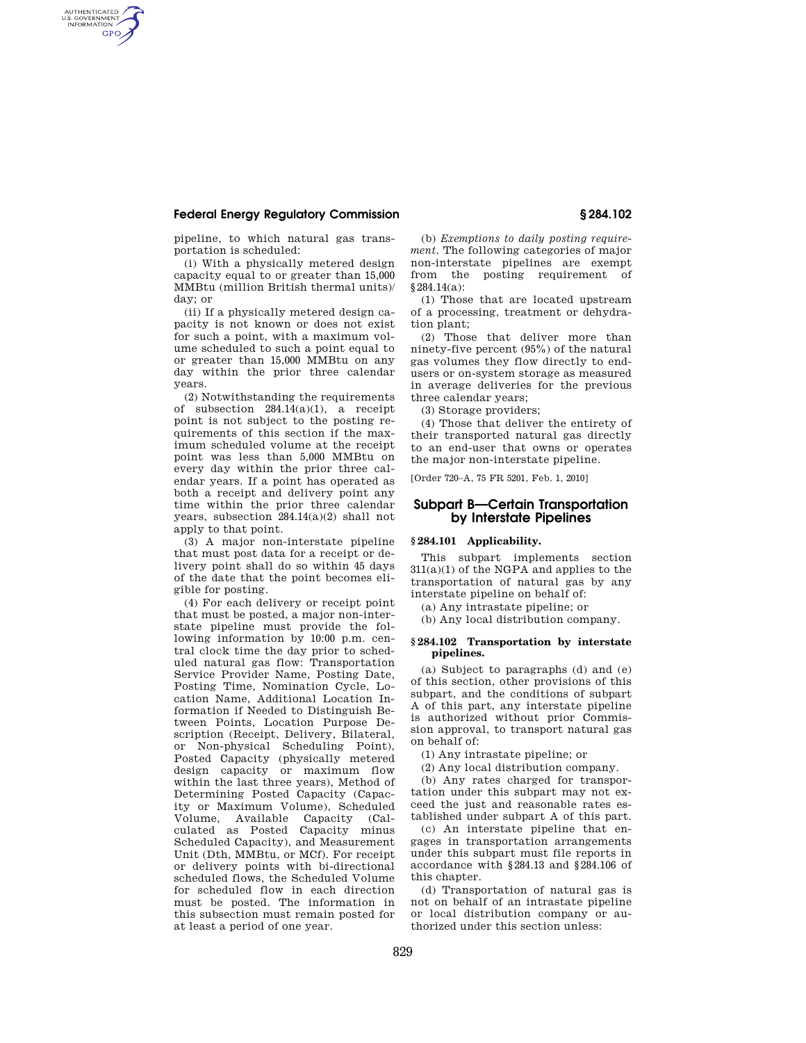## **Federal Energy Regulatory Commission § 284.102**

AUTHENTICATED<br>U.S. GOVERNMENT<br>INFORMATION **GPO** 

> pipeline, to which natural gas transportation is scheduled:

> (i) With a physically metered design capacity equal to or greater than 15,000 MMBtu (million British thermal units)/ day; or

> (ii) If a physically metered design capacity is not known or does not exist for such a point, with a maximum volume scheduled to such a point equal to or greater than 15,000 MMBtu on any day within the prior three calendar years.

> (2) Notwithstanding the requirements of subsection 284.14(a)(1), a receipt point is not subject to the posting requirements of this section if the maximum scheduled volume at the receipt point was less than 5,000 MMBtu on every day within the prior three calendar years. If a point has operated as both a receipt and delivery point any time within the prior three calendar years, subsection 284.14(a)(2) shall not apply to that point.

> (3) A major non-interstate pipeline that must post data for a receipt or delivery point shall do so within 45 days of the date that the point becomes eligible for posting.

> (4) For each delivery or receipt point that must be posted, a major non-interstate pipeline must provide the following information by 10:00 p.m. central clock time the day prior to scheduled natural gas flow: Transportation Service Provider Name, Posting Date, Posting Time, Nomination Cycle, Location Name, Additional Location Information if Needed to Distinguish Between Points, Location Purpose Description (Receipt, Delivery, Bilateral, or Non-physical Scheduling Point), Posted Capacity (physically metered design capacity or maximum flow within the last three years), Method of Determining Posted Capacity (Capacity or Maximum Volume), Scheduled Volume, Available Capacity (Calculated as Posted Capacity minus Scheduled Capacity), and Measurement Unit (Dth, MMBtu, or MCf). For receipt or delivery points with bi-directional scheduled flows, the Scheduled Volume for scheduled flow in each direction must be posted. The information in this subsection must remain posted for at least a period of one year.

(b) *Exemptions to daily posting requirement.* The following categories of major non-interstate pipelines are exempt from the posting requirement of §284.14(a):

(1) Those that are located upstream of a processing, treatment or dehydration plant;

(2) Those that deliver more than ninety-five percent (95%) of the natural gas volumes they flow directly to endusers or on-system storage as measured in average deliveries for the previous three calendar years;

(3) Storage providers;

(4) Those that deliver the entirety of their transported natural gas directly to an end-user that owns or operates the major non-interstate pipeline.

[Order 720–A, 75 FR 5201, Feb. 1, 2010]

# **Subpart B—Certain Transportation by Interstate Pipelines**

## **§ 284.101 Applicability.**

This subpart implements section  $311(a)(1)$  of the NGPA and applies to the transportation of natural gas by any interstate pipeline on behalf of:

(a) Any intrastate pipeline; or

(b) Any local distribution company.

#### **§ 284.102 Transportation by interstate pipelines.**

(a) Subject to paragraphs (d) and (e) of this section, other provisions of this subpart, and the conditions of subpart A of this part, any interstate pipeline is authorized without prior Commission approval, to transport natural gas on behalf of:

(1) Any intrastate pipeline; or

(2) Any local distribution company.

(b) Any rates charged for transportation under this subpart may not exceed the just and reasonable rates established under subpart A of this part.

(c) An interstate pipeline that engages in transportation arrangements under this subpart must file reports in accordance with §284.13 and §284.106 of this chapter.

(d) Transportation of natural gas is not on behalf of an intrastate pipeline or local distribution company or authorized under this section unless: